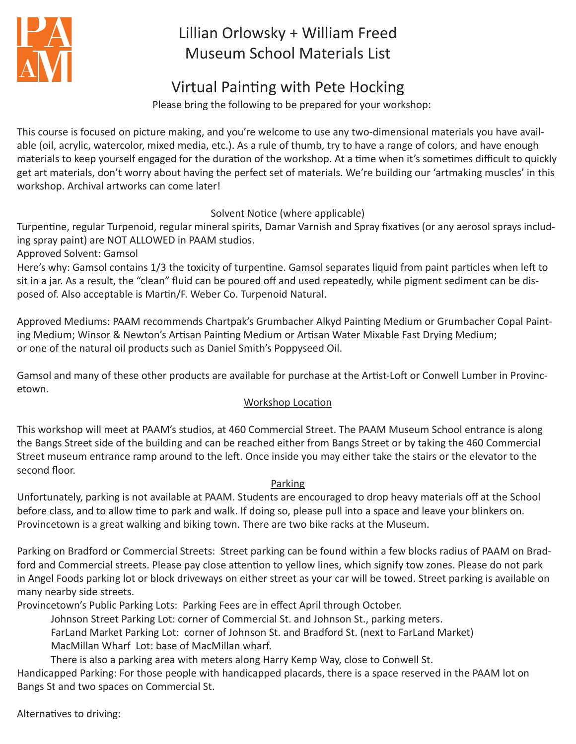

# Lillian Orlowsky + William Freed Museum School Materials List

## Virtual Painting with Pete Hocking

Please bring the following to be prepared for your workshop:

This course is focused on picture making, and you're welcome to use any two-dimensional materials you have available (oil, acrylic, watercolor, mixed media, etc.). As a rule of thumb, try to have a range of colors, and have enough materials to keep yourself engaged for the duration of the workshop. At a time when it's sometimes difficult to quickly get art materials, don't worry about having the perfect set of materials. We're building our 'artmaking muscles' in this workshop. Archival artworks can come later!

### Solvent Notice (where applicable)

Turpentine, regular Turpenoid, regular mineral spirits, Damar Varnish and Spray fixatives (or any aerosol sprays including spray paint) are NOT ALLOWED in PAAM studios.

Approved Solvent: Gamsol

Here's why: Gamsol contains 1/3 the toxicity of turpentine. Gamsol separates liquid from paint particles when left to sit in a jar. As a result, the "clean" fluid can be poured off and used repeatedly, while pigment sediment can be disposed of. Also acceptable is Martin/F. Weber Co. Turpenoid Natural.

Approved Mediums: PAAM recommends Chartpak's Grumbacher Alkyd Painting Medium or Grumbacher Copal Painting Medium; Winsor & Newton's Artisan Painting Medium or Artisan Water Mixable Fast Drying Medium; or one of the natural oil products such as Daniel Smith's Poppyseed Oil.

Gamsol and many of these other products are available for purchase at the Artist-Loft or Conwell Lumber in Provincetown.

### Workshop Location

This workshop will meet at PAAM's studios, at 460 Commercial Street. The PAAM Museum School entrance is along the Bangs Street side of the building and can be reached either from Bangs Street or by taking the 460 Commercial Street museum entrance ramp around to the left. Once inside you may either take the stairs or the elevator to the second floor.

### Parking

Unfortunately, parking is not available at PAAM. Students are encouraged to drop heavy materials off at the School before class, and to allow time to park and walk. If doing so, please pull into a space and leave your blinkers on. Provincetown is a great walking and biking town. There are two bike racks at the Museum.

Parking on Bradford or Commercial Streets: Street parking can be found within a few blocks radius of PAAM on Bradford and Commercial streets. Please pay close attention to yellow lines, which signify tow zones. Please do not park in Angel Foods parking lot or block driveways on either street as your car will be towed. Street parking is available on many nearby side streets.

Provincetown's Public Parking Lots: Parking Fees are in effect April through October.

Johnson Street Parking Lot: corner of Commercial St. and Johnson St., parking meters.

FarLand Market Parking Lot: corner of Johnson St. and Bradford St. (next to FarLand Market) MacMillan Wharf Lot: base of MacMillan wharf.

There is also a parking area with meters along Harry Kemp Way, close to Conwell St.

Handicapped Parking: For those people with handicapped placards, there is a space reserved in the PAAM lot on Bangs St and two spaces on Commercial St.

Alternatives to driving: